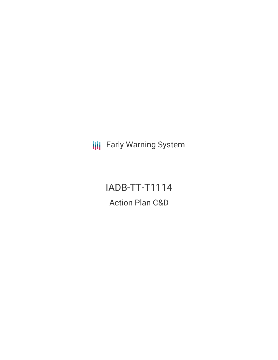**III** Early Warning System

# IADB-TT-T1114 Action Plan C&D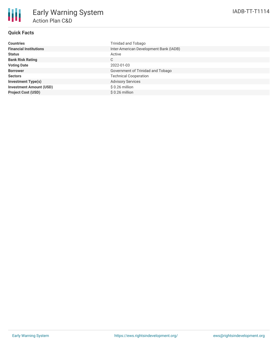### **Quick Facts**

| <b>Countries</b>               | Trinidad and Tobago                    |
|--------------------------------|----------------------------------------|
| <b>Financial Institutions</b>  | Inter-American Development Bank (IADB) |
| <b>Status</b>                  | Active                                 |
| <b>Bank Risk Rating</b>        | C                                      |
| <b>Voting Date</b>             | 2022-01-03                             |
| <b>Borrower</b>                | Government of Trinidad and Tobago      |
| <b>Sectors</b>                 | <b>Technical Cooperation</b>           |
| <b>Investment Type(s)</b>      | <b>Advisory Services</b>               |
| <b>Investment Amount (USD)</b> | $$0.26$ million                        |
| <b>Project Cost (USD)</b>      | $$0.26$ million                        |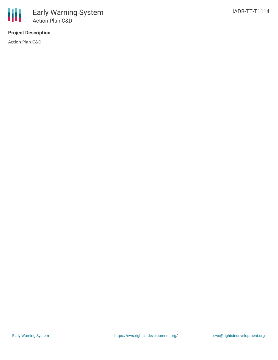## **Project Description**

Action Plan C&D.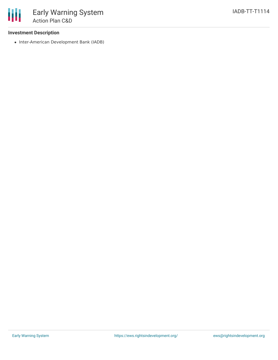#### **Investment Description**

• Inter-American Development Bank (IADB)